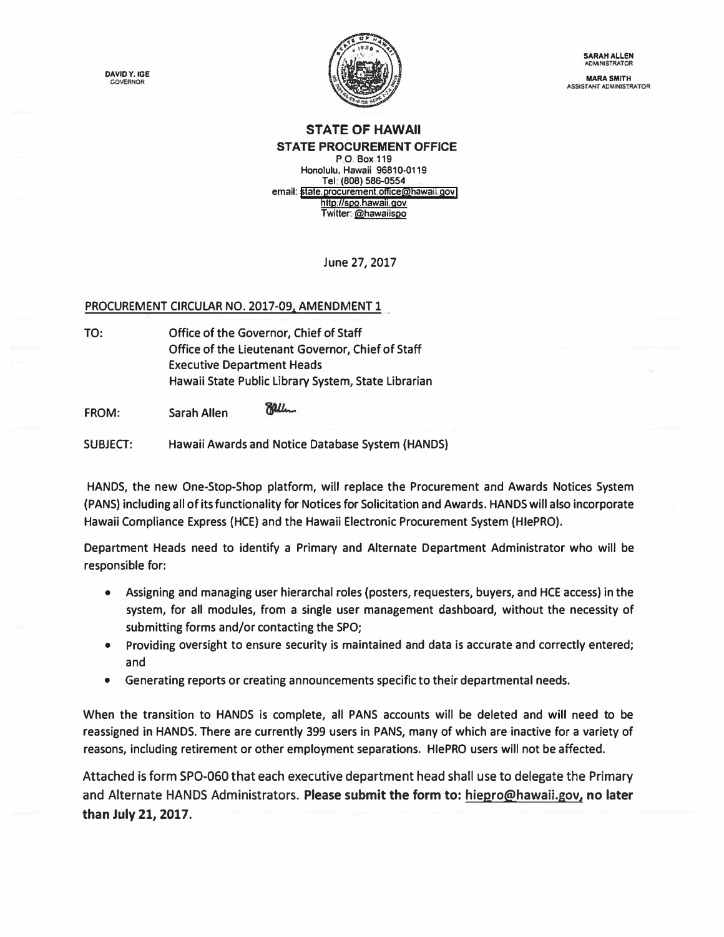**DAVIDY.IGE GOVERNOR** 



**SARAH ALLEN ADMINISTRATOR** 

**MARA SMITH ASSISTANT ADMINISTRATOR** 

## **STATE OF HAWAII STATE PROCUREMENT OFFICE**

**P.O. Box 119 Honolulu, Hawaii 96810,0119 Tel (808) 586-0554 email: [stale.procurement.office@hawan.gov](mailto:state.procurement.office@hawaii.gov)  http://spo.hawaii.gov Twitter. @hawaiispo** 

**June 27, 2017** 

## **PROCUREMENT CIRCULAR NO. 2017-09, AMENDMENT 1**

**TO: Office of the Governor, Chief of Staff Office of the Lieutenant Governor, Chief of Staff Executive Department Heads Hawaii State Public Library System, State Librarian** 

**Ealler FROM: Sarah Allen** 

**SUBJECT: Hawaii Awards and Notice Database System (HANDS)** 

**HANDS, the new One-Stop-Shop platform, will replace the Procurement and Awards Notices System (PANS) including all of its functionality for Notices for Solicitation and Awards. HANDS will also incorporate Hawaii Compliance Express {HCE) and the Hawaii Electronic Procurement System (HlePRO).** 

**Department Heads need to identify a Primary and Alternate Department Administrator who will be responsible for:** 

- **• Assigning and managing user hierarchal roles (posters, requesters, buyers, and HCE access) in the system, for all modules, from a single user management dashboard, without the necessity of submitting forms and/or contacting the SPO;**
- **• Providing oversight to ensure security is maintained and data is accurate and correctly entered; and**
- **• Generating reports or creating announcements specific to their departmental needs.**

**When the transition to HANDS is complete, all PANS accounts will be deleted and will need to be reassigned in HANDS. There are currently 399 users in PANS, many of which are inactive for a variety of**  reasons, including retirement or other employment separations. Hie PRO users will not be affected.

**[Attached is form SPO-060](https://spo.hawaii.gov/wp-content/uploads/2017/06/FORM-SPO-060-rev-6.26.17.xls) that each executive department head shall use to delegate the Primary and Alternate HANDS Administrators. [Please submit the form to: hiepro@hawaii.gov,](mailto:hiepro@hawaii.gov) no later than July 21, 2017.**